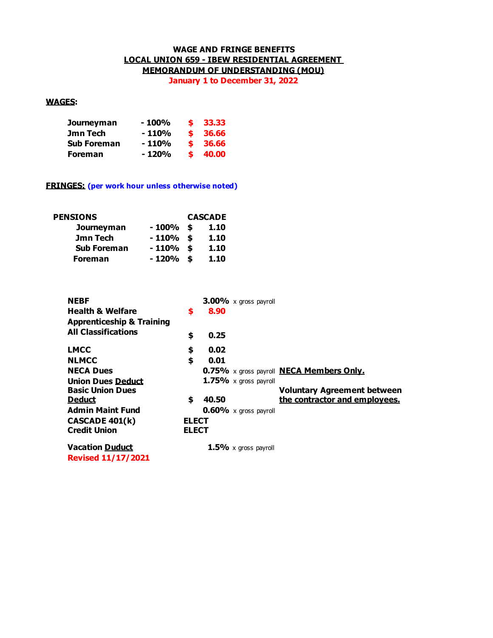## **WAGE AND FRINGE BENEFITS LOCAL UNION 659 - IBEW RESIDENTIAL AGREEMENT MEMORANDUM OF UNDERSTANDING (MOU)**

**January 1 to December 31, 2022**

## **WAGES:**

| Journeyman         | - 100% |    | $\frac{1}{2}$ 33.33 |
|--------------------|--------|----|---------------------|
| Jmn Tech           | - 110% |    | \$36.66             |
| <b>Sub Foreman</b> | - 110% |    | \$36.66             |
| <b>Foreman</b>     | - 120% | S. | 40.00               |

### **FRINGES: (per work hour unless otherwise noted)**

| <b>PENSIONS</b>    | <b>CASCADE</b> |  |      |  |  |  |
|--------------------|----------------|--|------|--|--|--|
| Journeyman         | $-100\%$ \$    |  | 1.10 |  |  |  |
| Jmn Tech           | $-110%$ \$     |  | 1.10 |  |  |  |
| <b>Sub Foreman</b> | $-110%$ \$     |  | 1.10 |  |  |  |
| <b>Foreman</b>     | $-120%$ \$     |  | 1.10 |  |  |  |

| <b>NEBF</b>                          |              |       | $3.00\%$ x gross payroll     |                                                 |
|--------------------------------------|--------------|-------|------------------------------|-------------------------------------------------|
| <b>Health &amp; Welfare</b>          | \$           | 8.90  |                              |                                                 |
| <b>Apprenticeship &amp; Training</b> |              |       |                              |                                                 |
| <b>All Classifications</b>           | \$           | 0.25  |                              |                                                 |
| <b>LMCC</b>                          | \$           | 0.02  |                              |                                                 |
| <b>NLMCC</b>                         | \$           | 0.01  |                              |                                                 |
| <b>NECA Dues</b>                     |              |       |                              | 0.75% x gross payroll <b>NECA Members Only.</b> |
| <b>Union Dues Deduct</b>             |              |       | 1.75% $\times$ gross payroll |                                                 |
| <b>Basic Union Dues</b>              |              |       |                              | <b>Voluntary Agreement between</b>              |
| <b>Deduct</b>                        | \$           | 40.50 |                              | the contractor and employees.                   |
| <b>Admin Maint Fund</b>              |              |       | $0.60\%$ x gross payroll     |                                                 |
| <b>CASCADE 401(k)</b>                | <b>ELECT</b> |       |                              |                                                 |
| <b>Credit Union</b>                  | <b>ELECT</b> |       |                              |                                                 |
| <b>Vacation Duduct</b>               |              |       | $1.5\%$ x gross payroll      |                                                 |
| <b>Revised 11/17/2021</b>            |              |       |                              |                                                 |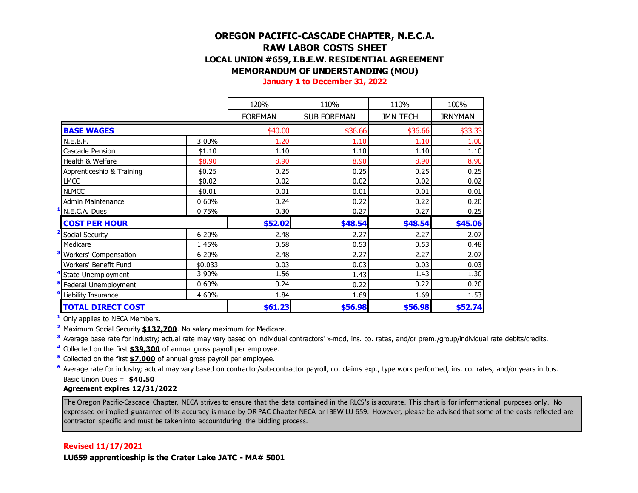# **OREGON PACIFIC-CASCADE CHAPTER, N.E.C.A. RAW LABOR COSTS SHEET LOCAL UNION #659, I.B.E.W. RESIDENTIAL AGREEMENT MEMORANDUM OF UNDERSTANDING (MOU)**

**January 1 to December 31, 2022**

|                            |         | 120%           | 110%               | 110%            | 100%    |  |
|----------------------------|---------|----------------|--------------------|-----------------|---------|--|
|                            |         | <b>FOREMAN</b> | <b>SUB FOREMAN</b> | <b>JMN TECH</b> | JRNYMAN |  |
| <b>BASE WAGES</b>          |         | \$40.00        | \$36.66            | \$36.66         | \$33.33 |  |
| N.E.B.F.                   | 3.00%   | 1.20           | 1.10               | 1.10            | 1.00    |  |
| Cascade Pension            | \$1.10  | 1.10           | 1.10               | 1.10            | 1.10    |  |
| Health & Welfare           | \$8.90  | 8.90           | 8.90               | 8.90            | 8.90    |  |
| Apprenticeship & Training  | \$0.25  | 0.25           | 0.25               | 0.25            | 0.25    |  |
| <b>LMCC</b>                | \$0.02  | 0.02           | 0.02               | 0.02            | 0.02    |  |
| <b>NLMCC</b>               | \$0.01  | 0.01           | 0.01               | 0.01            | 0.01    |  |
| Admin Maintenance          | 0.60%   | 0.24           | 0.22               | 0.22            | 0.20    |  |
| N.E.C.A. Dues              | 0.75%   | 0.30           | 0.27               | 0.27            | 0.25    |  |
| <b>COST PER HOUR</b>       |         | \$52.02        | \$48.54            | \$48.54         | \$45.06 |  |
| Social Security            | 6.20%   | 2.48           | 2.27               | 2.27            | 2.07    |  |
| Medicare                   | 1.45%   | 0.58           | 0.53               | 0.53            | 0.48    |  |
| Workers' Compensation      | 6.20%   | 2.48           | 2.27               | 2.27            | 2.07    |  |
| Workers' Benefit Fund      | \$0.033 | 0.03           | 0.03               | 0.03            | 0.03    |  |
| State Unemployment         | 3.90%   | 1.56           | 1.43               | 1.43            | 1.30    |  |
| Federal Unemployment       | 0.60%   | 0.24           | 0.22               | 0.22            | 0.20    |  |
| <b>Liability Insurance</b> | 4.60%   | 1.84           | 1.69               | 1.69            | 1.53    |  |
| <b>TOTAL DIRECT COST</b>   |         | \$61.23        | \$56.98            | \$56.98         | \$52.74 |  |

**<sup>1</sup>** Only applies to NECA Members.

**<sup>2</sup>** Maximum Social Security **\$137,700**. No salary maximum for Medicare.

**<sup>3</sup>** Average base rate for industry; actual rate may vary based on individual contractors' x-mod, ins. co. rates, and/or prem./group/individual rate debits/credits.

**<sup>4</sup>** Collected on the first **\$39,300** of annual gross payroll per employee.

**<sup>5</sup>** Collected on the first **\$7,000** of annual gross payroll per employee.

**<sup>6</sup>** Average rate for industry; actual may vary based on contractor/sub-contractor payroll, co. claims exp., type work performed, ins. co. rates, and/or years in bus. Basic Union Dues = **\$40.50**

#### **Agreement expires 12/31/2022**

The Oregon Pacific-Cascade Chapter, NECA strives to ensure that the data contained in the RLCS's is accurate. This chart is for informational purposes only. No expressed or implied guarantee of its accuracy is made by OR PAC Chapter NECA or IBEW LU 659. However, please be advised that some of the costs reflected are contractor specific and must be taken into accountduring the bidding process.

### **Revised 11/17/2021**

**LU659 apprenticeship is the Crater Lake JATC - MA# 5001**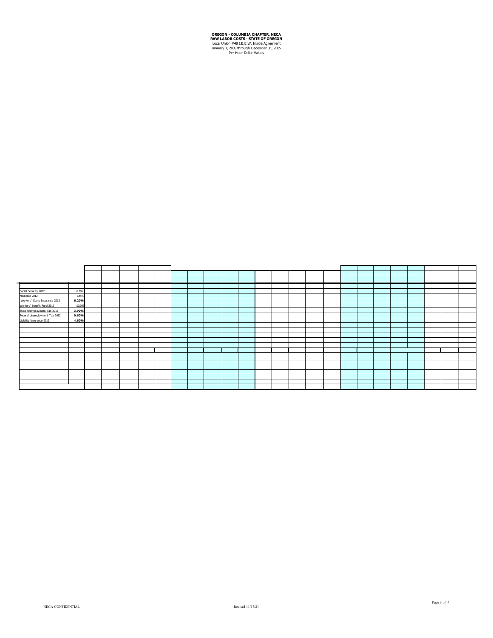**OREGON - COLUMBIA CHAPTER, NECA<br>
RAW LABOR COSTS - STATE OF OREGON**<br>
Local Union #48 I.B.E.W. Inside Agreement<br>
January 1, 2005 through December 31, 2005<br>
Per Hour Dollar Values

| Social Security 2012          | 6.20%   |  |  |  |  |  |  |  |  |  |  |  |  |
|-------------------------------|---------|--|--|--|--|--|--|--|--|--|--|--|--|
| Medicare 2012                 | 1.45%   |  |  |  |  |  |  |  |  |  |  |  |  |
| Workers' Comp Insurance 2012  | 6.20%   |  |  |  |  |  |  |  |  |  |  |  |  |
| Workers' Benefit Fund 2012    | \$0.033 |  |  |  |  |  |  |  |  |  |  |  |  |
| State Unemployment Tax 2012   | 3.90%   |  |  |  |  |  |  |  |  |  |  |  |  |
| Federal Unemployment Tax 2012 | 0.60%   |  |  |  |  |  |  |  |  |  |  |  |  |
| Liability Insurance 2012      | 4.60%   |  |  |  |  |  |  |  |  |  |  |  |  |
|                               |         |  |  |  |  |  |  |  |  |  |  |  |  |
|                               |         |  |  |  |  |  |  |  |  |  |  |  |  |
|                               |         |  |  |  |  |  |  |  |  |  |  |  |  |
|                               |         |  |  |  |  |  |  |  |  |  |  |  |  |
|                               |         |  |  |  |  |  |  |  |  |  |  |  |  |
|                               |         |  |  |  |  |  |  |  |  |  |  |  |  |
|                               |         |  |  |  |  |  |  |  |  |  |  |  |  |
|                               |         |  |  |  |  |  |  |  |  |  |  |  |  |
|                               |         |  |  |  |  |  |  |  |  |  |  |  |  |
|                               |         |  |  |  |  |  |  |  |  |  |  |  |  |
|                               |         |  |  |  |  |  |  |  |  |  |  |  |  |
|                               |         |  |  |  |  |  |  |  |  |  |  |  |  |